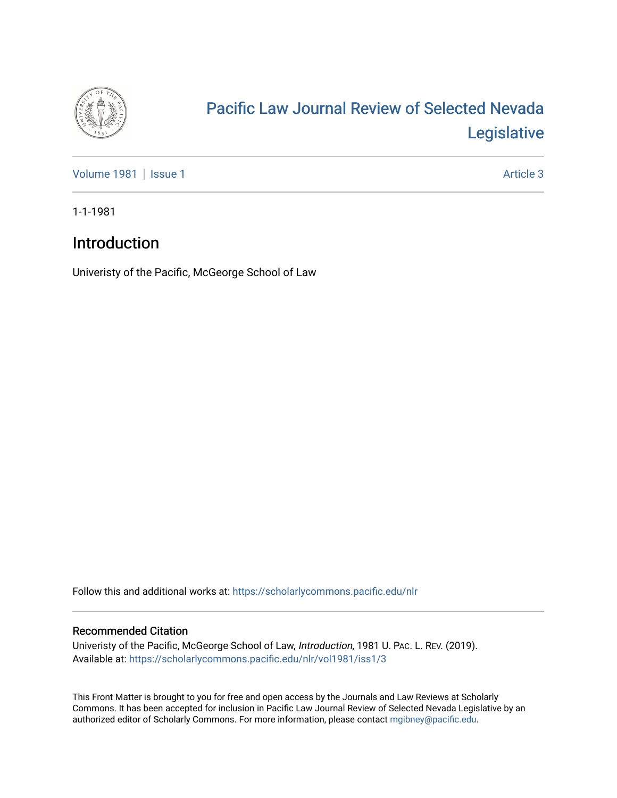

## [Pacific Law Journal Review of Selected Nevada](https://scholarlycommons.pacific.edu/nlr)  [Legislative](https://scholarlycommons.pacific.edu/nlr)

[Volume 1981](https://scholarlycommons.pacific.edu/nlr/vol1981) | [Issue 1](https://scholarlycommons.pacific.edu/nlr/vol1981/iss1) Article 3

1-1-1981

## Introduction

Univeristy of the Pacific, McGeorge School of Law

Follow this and additional works at: [https://scholarlycommons.pacific.edu/nlr](https://scholarlycommons.pacific.edu/nlr?utm_source=scholarlycommons.pacific.edu%2Fnlr%2Fvol1981%2Fiss1%2F3&utm_medium=PDF&utm_campaign=PDFCoverPages) 

## Recommended Citation

Univeristy of the Pacific, McGeorge School of Law, Introduction, 1981 U. PAC. L. REV. (2019). Available at: [https://scholarlycommons.pacific.edu/nlr/vol1981/iss1/3](https://scholarlycommons.pacific.edu/nlr/vol1981/iss1/3?utm_source=scholarlycommons.pacific.edu%2Fnlr%2Fvol1981%2Fiss1%2F3&utm_medium=PDF&utm_campaign=PDFCoverPages) 

This Front Matter is brought to you for free and open access by the Journals and Law Reviews at Scholarly Commons. It has been accepted for inclusion in Pacific Law Journal Review of Selected Nevada Legislative by an authorized editor of Scholarly Commons. For more information, please contact [mgibney@pacific.edu](mailto:mgibney@pacific.edu).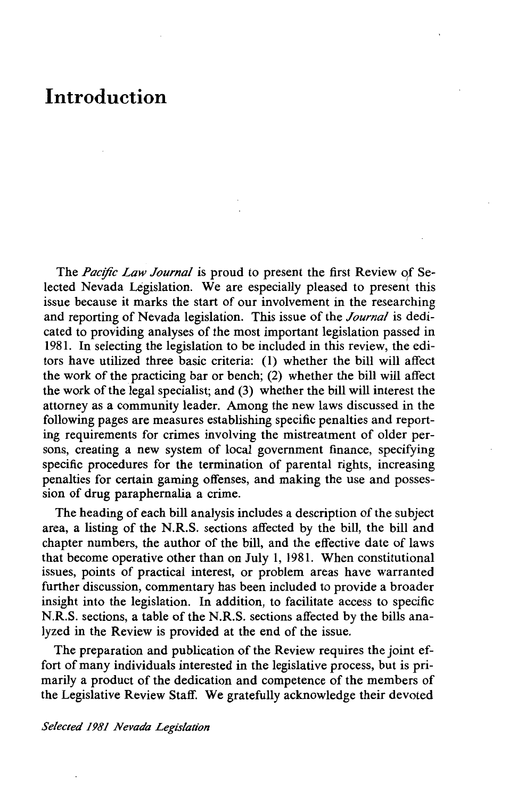## **Introduction**

The *Pacific Law Journal* is proud to present the first Review of Selected Nevada Legislation. We are especially pleased to present this issue because it marks the start of our involvement in the researching and reporting of Nevada legislation. This issue of the *Journal* is dedicated to providing analyses of the most important legislation passed in 1981. In selecting the legislation to be included in this review, the editors have utilized three basic criteria: (1) whether the bill will affect the work of the practicing bar or bench; (2) whether the bill will affect the work of the legal specialist; and (3) whether the bill will interest the attorney as a community leader. Among the new laws discussed in the following pages are measures establishing specific penalties and reporting requirements for crimes involving the mistreatment of older persons, creating a new system of local government finance, specifying specific procedures for the termination of parental rights, increasing penalties for certain gaming offenses, and making the use and possession of drug paraphernalia a crime.

The heading of each bill analysis includes a description of the subject area, a listing of the N.R.S. sections affected by the bill, the bill and chapter numbers, the author of the bill, and the effective date of laws that become operative other than on July 1, 1981. When constitutional issues, points of practical interest, or problem areas have warranted further discussion, commentary has been included to provide a broader insight into the legislation. In addition, to facilitate access to specific N.R.S. sections, a table of the N.R.S. sections affected by the bills analyzed in the Review is provided at the end of the issue.

The preparation and publication of the Review requires the joint effort of many individuals interested in the legislative process, but is primarily a product of the dedication and competence of the members of the Legislative Review Staff. We gratefully acknowledge their devoted